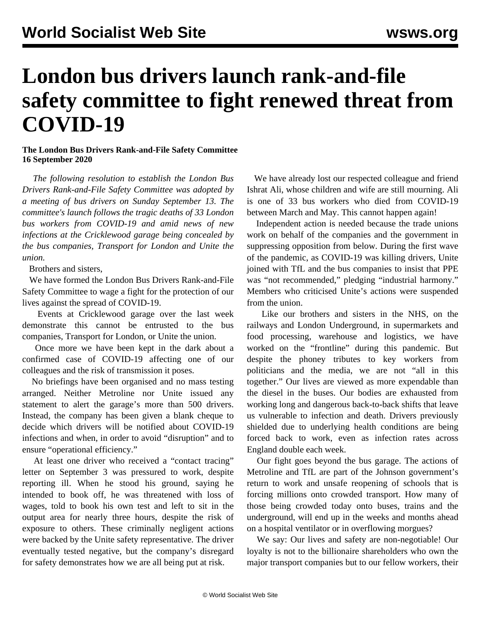## **London bus drivers launch rank-and-file safety committee to fight renewed threat from COVID-19**

## **The London Bus Drivers Rank-and-File Safety Committee 16 September 2020**

 *The following resolution to establish the London Bus Drivers Rank-and-File Safety Committee was adopted by a meeting of bus drivers on Sunday September 13. The committee's launch follows the tragic deaths of 33 London bus workers from COVID-19 and amid news of new infections at the Cricklewood garage being concealed by the bus companies, Transport for London and Unite the union.*

Brothers and sisters,

 We have formed the London Bus Drivers Rank-and-File Safety Committee to wage a fight for the protection of our lives against the spread of COVID-19.

 Events at Cricklewood garage over the last week demonstrate this cannot be entrusted to the bus companies, Transport for London, or Unite the union.

 Once more we have been kept in the dark about a confirmed case of COVID-19 affecting one of our colleagues and the risk of transmission it poses.

 No briefings have been organised and no mass testing arranged. Neither Metroline nor Unite issued any statement to alert the garage's more than 500 drivers. Instead, the company has been given a blank cheque to decide which drivers will be notified about COVID-19 infections and when, in order to avoid "disruption" and to ensure "operational efficiency."

 At least one driver who received a "contact tracing" letter on September 3 was pressured to work, despite reporting ill. When he stood his ground, saying he intended to book off, he was threatened with loss of wages, told to book his own test and left to sit in the output area for nearly three hours, despite the risk of exposure to others. These criminally negligent actions were backed by the Unite safety representative. The driver eventually tested negative, but the company's disregard for safety demonstrates how we are all being put at risk.

 We have already lost our respected colleague and friend Ishrat Ali, whose children and wife are still mourning. Ali is one of 33 bus workers who died from COVID-19 between March and May. This cannot happen again!

 Independent action is needed because the trade unions work on behalf of the companies and the government in suppressing opposition from below. During the first wave of the pandemic, as COVID-19 was killing drivers, Unite joined with TfL and the bus companies to insist that PPE was "not recommended," pledging "industrial harmony." Members who criticised Unite's actions were suspended from the union.

 Like our brothers and sisters in the NHS, on the railways and London Underground, in supermarkets and food processing, warehouse and logistics, we have worked on the "frontline" during this pandemic. But despite the phoney tributes to key workers from politicians and the media, we are not "all in this together." Our lives are viewed as more expendable than the diesel in the buses. Our bodies are exhausted from working long and dangerous back-to-back shifts that leave us vulnerable to infection and death. Drivers previously shielded due to underlying health conditions are being forced back to work, even as infection rates across England double each week.

 Our fight goes beyond the bus garage. The actions of Metroline and TfL are part of the Johnson government's return to work and unsafe reopening of schools that is forcing millions onto crowded transport. How many of those being crowded today onto buses, trains and the underground, will end up in the weeks and months ahead on a hospital ventilator or in overflowing morgues?

 We say: Our lives and safety are non-negotiable! Our loyalty is not to the billionaire shareholders who own the major transport companies but to our fellow workers, their